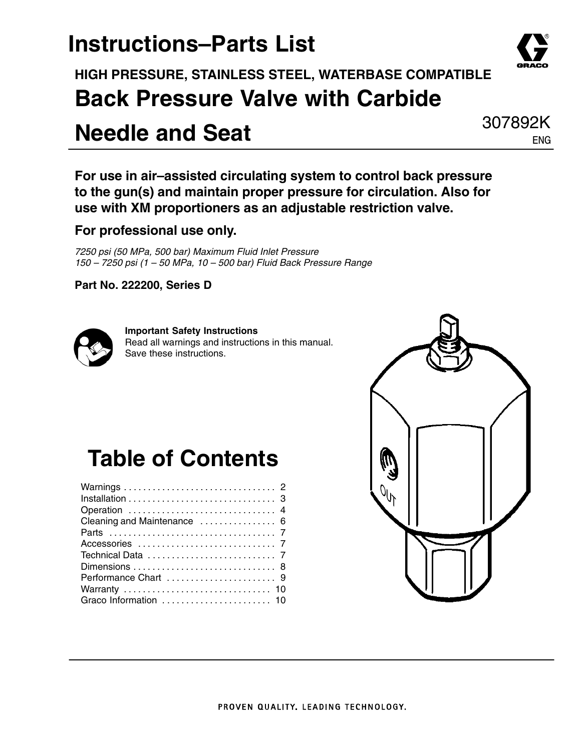## **Instructions–Parts List**

**HIGH PRESSURE, STAINLESS STEEL, WATERBASE COMPATIBLE Back Pressure Valve with Carbide**

## **Needle and Seat**

**For use in air–assisted circulating system to control back pressure to the gun(s) and maintain proper pressure for circulation. Also for use with XM proportioners as an adjustable restriction valve.**

### **For professional use only.**

*7250 psi (50 MPa, 500 bar) Maximum Fluid Inlet Pressure 150 – 7250 psi (1 – 50 MPa, 10 – 500 bar) Fluid Back Pressure Range*

**Part No. 222200, Series D**



**Important Safety Instructions** Read all warnings and instructions in this manual. Save these instructions.

## **Table of Contents**





307892K ENG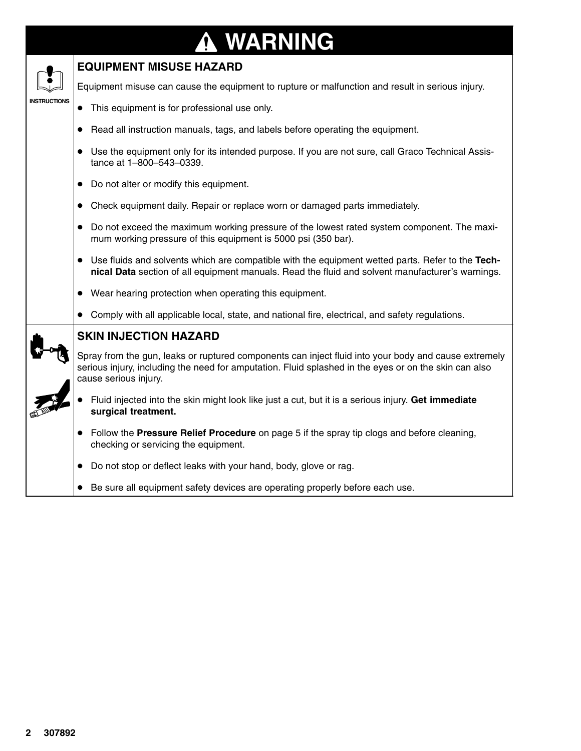### **WARNING** 0



### **EQUIPMENT MISUSE HAZARD**

Equipment misuse can cause the equipment to rupture or malfunction and result in serious injury.

- This equipment is for professional use only.
- Read all instruction manuals, tags, and labels before operating the equipment.
- Use the equipment only for its intended purpose. If you are not sure, call Graco Technical Assistance at 1–800–543–0339.
- Do not alter or modify this equipment.
- Check equipment daily. Repair or replace worn or damaged parts immediately.
- Do not exceed the maximum working pressure of the lowest rated system component. The maximum working pressure of this equipment is 5000 psi (350 bar).
- Use fluids and solvents which are compatible with the equipment wetted parts. Refer to the Tech**nical Data** section of all equipment manuals. Read the fluid and solvent manufacturer's warnings.
- Wear hearing protection when operating this equipment.
- Comply with all applicable local, state, and national fire, electrical, and safety regulations.



### **SKIN INJECTION HAZARD**

Spray from the gun, leaks or ruptured components can inject fluid into your body and cause extremely serious injury, including the need for amputation. Fluid splashed in the eyes or on the skin can also cause serious injury.

- $\bullet$  Fluid injected into the skin might look like just a cut, but it is a serious injury. **Get immediate surgical treatment.**
- Follow the **Pressure Relief Procedure** on page 5 if the spray tip clogs and before cleaning, checking or servicing the equipment.
- Do not stop or deflect leaks with your hand, body, glove or rag.
- Be sure all equipment safety devices are operating properly before each use.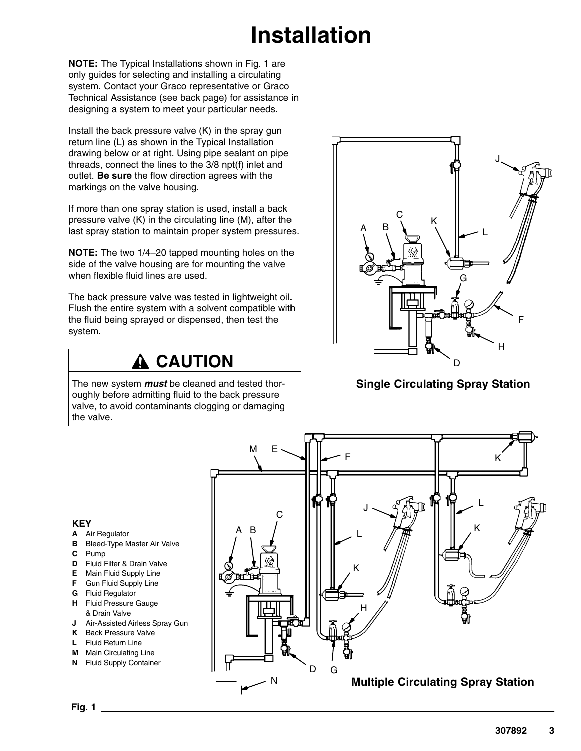# **Installation**

**NOTE:** The Typical Installations shown in Fig. 1 are only guides for selecting and installing a circulating system. Contact your Graco representative or Graco Technical Assistance (see back page) for assistance in designing a system to meet your particular needs.

Install the back pressure valve (K) in the spray gun return line (L) as shown in the Typical Installation drawing below or at right. Using pipe sealant on pipe threads, connect the lines to the 3/8 npt(f) inlet and outlet. **Be sure** the flow direction agrees with the markings on the valve housing.

If more than one spray station is used, install a back pressure valve (K) in the circulating line (M), after the last spray station to maintain proper system pressures.

**NOTE:** The two 1/4–20 tapped mounting holes on the side of the valve housing are for mounting the valve when flexible fluid lines are used.

The back pressure valve was tested in lightweight oil. Flush the entire system with a solvent compatible with the fluid being sprayed or dispensed, then test the system.

### **A CAUTION**

The new system *must* be cleaned and tested thoroughly before admitting fluid to the back pressure valve, to avoid contaminants clogging or damaging the valve.



### **Single Circulating Spray Station**

#### **KEY**

- **A** Air Regulator
- **B** Bleed-Type Master Air Valve
- **C** Pump
- **D** Fluid Filter & Drain Valve
- **E** Main Fluid Supply Line
- **F** Gun Fluid Supply Line
- **G** Fluid Regulator
- **H** Fluid Pressure Gauge & Drain Valve
- **J** Air-Assisted Airless Spray Gun
- **K** Back Pressure Valve
- **L** Fluid Return Line
- **M** Main Circulating Line
- **N** Fluid Supply Container

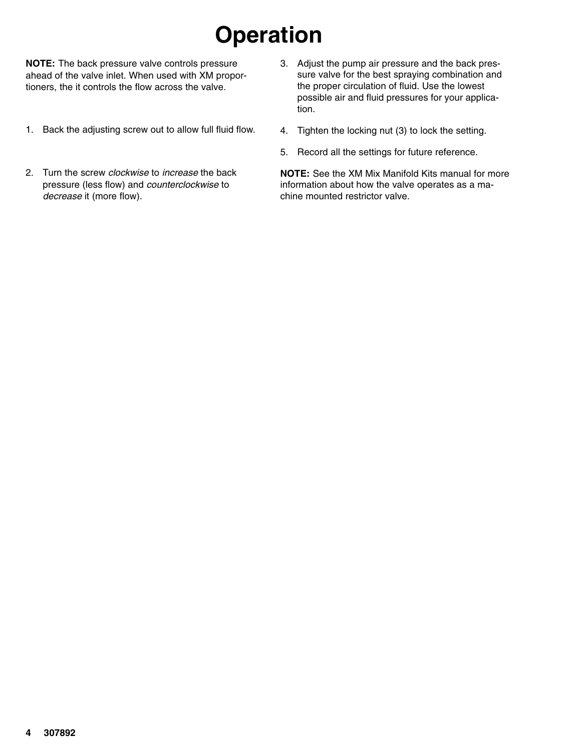# **Operation**

**NOTE:** The back pressure valve controls pressure ahead of the valve inlet. When used with XM proportioners, the it controls the flow across the valve.

- 1. Back the adjusting screw out to allow full fluid flow.
- 2. Turn the screw *clockwise* to *increase* the back pressure (less flow) and *counterclockwise* to *decrease* it (more flow).
- 3. Adjust the pump air pressure and the back pressure valve for the best spraying combination and the proper circulation of fluid. Use the lowest possible air and fluid pressures for your application.
- 4. Tighten the locking nut (3) to lock the setting.
- 5. Record all the settings for future reference.

**NOTE:** See the XM Mix Manifold Kits manual for more information about how the valve operates as a machine mounted restrictor valve.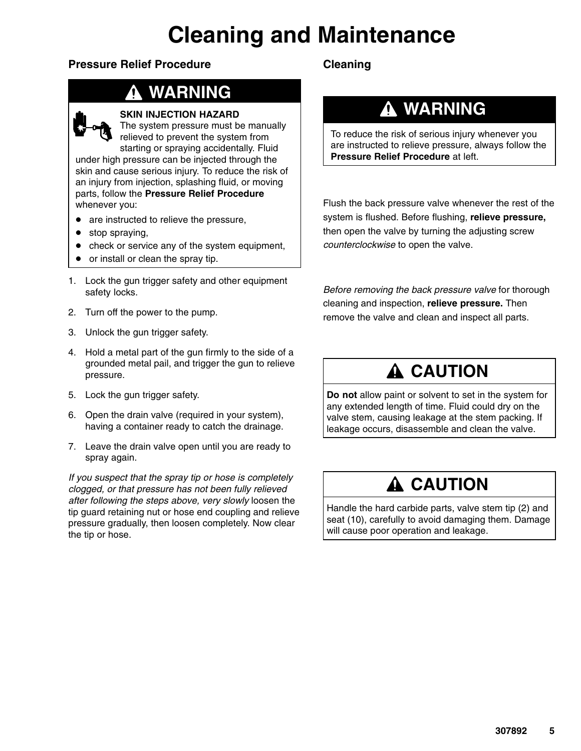# **Cleaning and Maintenance**

### **Pressure Relief Procedure**

## **WARNING**



#### **SKIN INJECTION HAZARD**

The system pressure must be manually relieved to prevent the system from starting or spraying accidentally. Fluid under high pressure can be injected through the skin and cause serious injury. To reduce the risk of an injury from injection, splashing fluid, or moving

parts, follow the **Pressure Relief Procedure** whenever you:

- are instructed to relieve the pressure,
- stop spraying,
- check or service any of the system equipment,
- or install or clean the spray tip.
- 1. Lock the gun trigger safety and other equipment safety locks.
- 2. Turn off the power to the pump.
- 3. Unlock the gun trigger safety.
- 4. Hold a metal part of the gun firmly to the side of a grounded metal pail, and trigger the gun to relieve pressure.
- 5. Lock the gun trigger safety.
- 6. Open the drain valve (required in your system), having a container ready to catch the drainage.
- 7. Leave the drain valve open until you are ready to spray again.

*If you suspect that the spray tip or hose is completely clogged, or that pressure has not been fully relieved after following the steps above, very slowly* loosen the tip guard retaining nut or hose end coupling and relieve pressure gradually, then loosen completely. Now clear the tip or hose.

### **Cleaning**

### **WARNING**

To reduce the risk of serious injury whenever you are instructed to relieve pressure, always follow the **Pressure Relief Procedure** at left.

Flush the back pressure valve whenever the rest of the system is flushed. Before flushing, **relieve pressure,** then open the valve by turning the adjusting screw *counterclockwise* to open the valve.

*Before removing the back pressure valve* for thorough cleaning and inspection, **relieve pressure.** Then remove the valve and clean and inspect all parts.

### **A CAUTION**

**Do not** allow paint or solvent to set in the system for any extended length of time. Fluid could dry on the valve stem, causing leakage at the stem packing. If leakage occurs, disassemble and clean the valve.

### **A CAUTION**

Handle the hard carbide parts, valve stem tip (2) and seat (10), carefully to avoid damaging them. Damage will cause poor operation and leakage.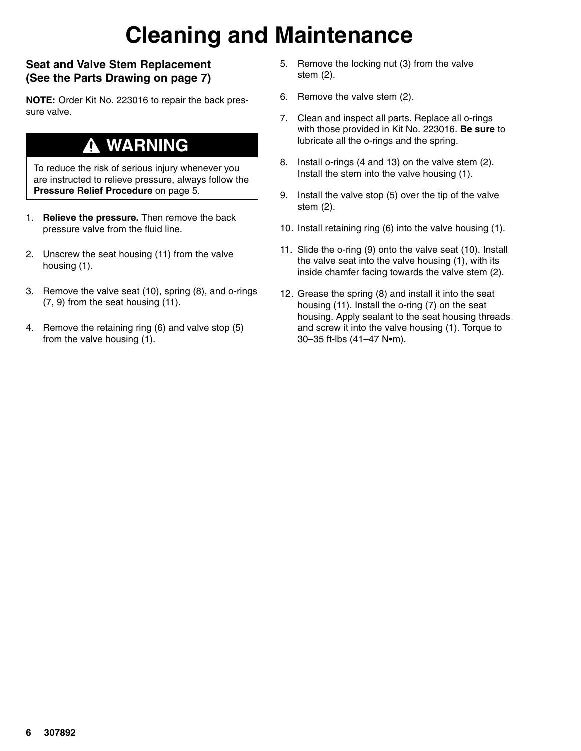# **Cleaning and Maintenance**

### **Seat and Valve Stem Replacement (See the Parts Drawing on page 7)**

**NOTE:** Order Kit No. 223016 to repair the back pressure valve.

### **WARNING**

To reduce the risk of serious injury whenever you are instructed to relieve pressure, always follow the **Pressure Relief Procedure** on page 5.

- 1. **Relieve the pressure.** Then remove the back pressure valve from the fluid line.
- 2. Unscrew the seat housing (11) from the valve housing (1).
- 3. Remove the valve seat (10), spring (8), and o-rings (7, 9) from the seat housing (11).
- 4. Remove the retaining ring (6) and valve stop (5) from the valve housing (1).
- 5. Remove the locking nut (3) from the valve stem (2).
- 6. Remove the valve stem (2).
- 7. Clean and inspect all parts. Replace all o-rings with those provided in Kit No. 223016. **Be sure** to lubricate all the o-rings and the spring.
- 8. Install o-rings (4 and 13) on the valve stem (2). Install the stem into the valve housing (1).
- 9. Install the valve stop (5) over the tip of the valve stem (2).
- 10. Install retaining ring (6) into the valve housing (1).
- 11. Slide the o-ring (9) onto the valve seat (10). Install the valve seat into the valve housing (1), with its inside chamfer facing towards the valve stem (2).
- 12. Grease the spring (8) and install it into the seat housing (11). Install the o-ring (7) on the seat housing. Apply sealant to the seat housing threads and screw it into the valve housing (1). Torque to 30-35 ft-lbs (41-47 N•m).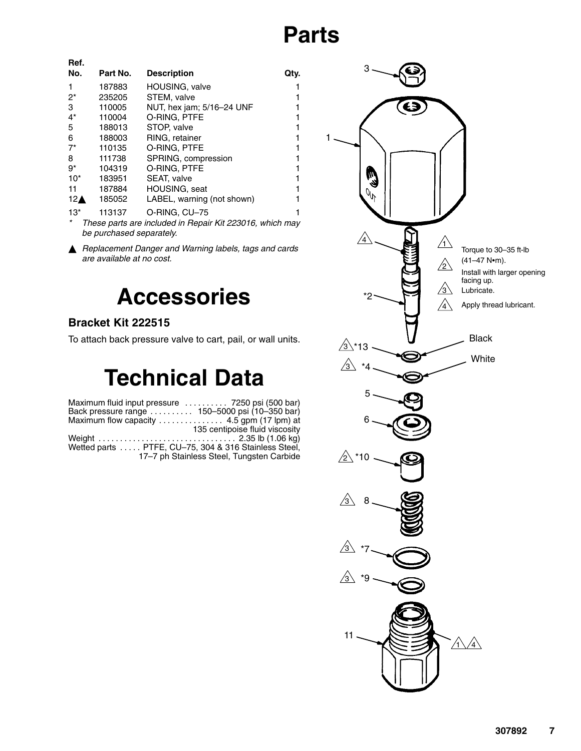## **Parts**

| Ref.               |          |                                                          |      |
|--------------------|----------|----------------------------------------------------------|------|
| No.                | Part No. | <b>Description</b>                                       | Qty. |
| 1                  | 187883   | HOUSING, valve                                           | 1    |
| $2^*$              | 235205   | STEM, valve                                              | 1    |
| 3                  | 110005   | NUT, hex jam; 5/16-24 UNF                                | 1    |
| $4^*$              | 110004   | O-RING, PTFE                                             | 1    |
| 5                  | 188013   | STOP, valve                                              | 1    |
| 6                  | 188003   | RING, retainer                                           | 1    |
| $7^*$              | 110135   | O-RING, PTFE                                             | 1    |
| 8                  | 111738   | SPRING, compression                                      | 1    |
| $9*$               | 104319   | O-RING. PTFE                                             | 1    |
| $10*$              | 183951   | SEAT, valve                                              | 1    |
| 11                 | 187884   | <b>HOUSING, seat</b>                                     | 1    |
| $12\blacktriangle$ | 185052   | LABEL, warning (not shown)                               | 1    |
| $13*$              | 113137   | O-RING, CU-75                                            | 1    |
| *                  |          | These parts are included in Penair Kit 222016, which may |      |

*\* These parts are included in Repair Kit 223016, which may be purchased separately.*

 *Replacement Danger and Warning labels, tags and cards are available at no cost.*

## **Accessories**

### **Bracket Kit 222515**

To attach back pressure valve to cart, pail, or wall units.

# **Technical Data**

Maximum fluid input pressure ......... 7250 psi (500 bar) Back pressure range .......... 150–5000 psi (10–350 bar) Maximum flow capacity ............... 4.5 gpm (17 lpm) at 135 centipoise fluid viscosity Weight 2.35 lb (1.06 kg) . . . . . . . . . . . . . . . . . . . . . . . . . . . . . . . . Wetted parts ..... PTFE, CU–75, 304 & 316 Stainless Steel, 17–7 ph Stainless Steel, Tungsten Carbide

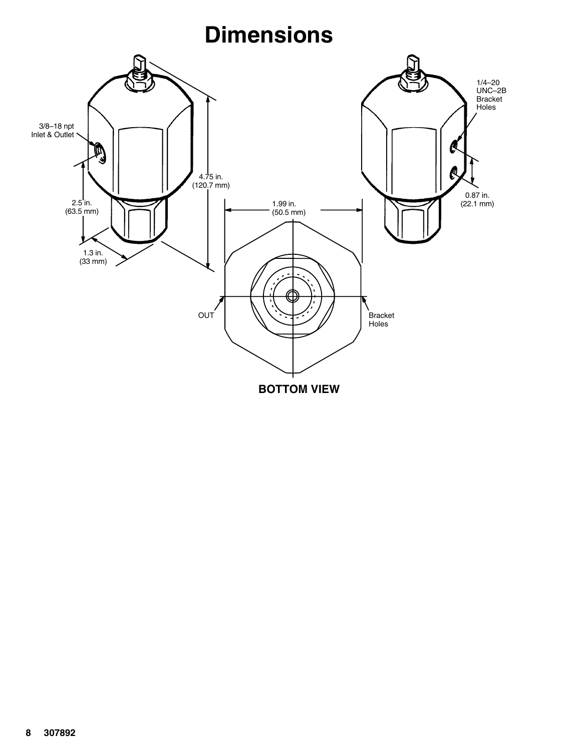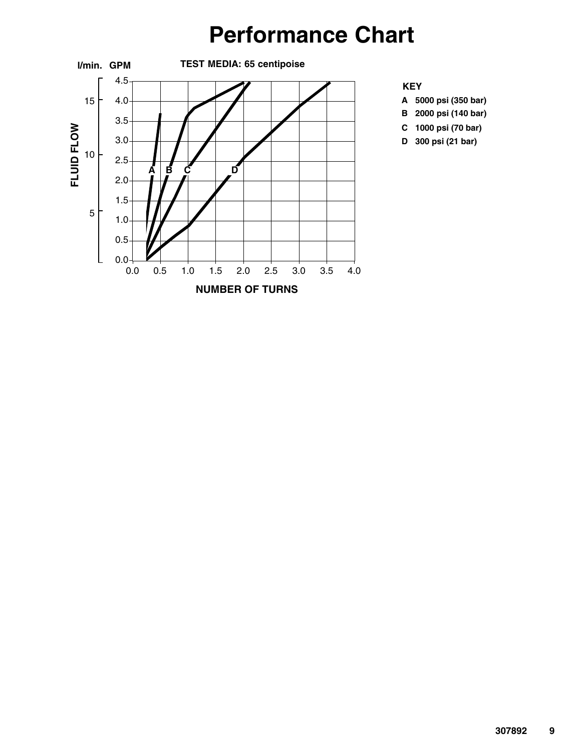## **Performance Chart**





- **A 5000 psi (350 bar)**
- **B 2000 psi (140 bar)**
- **C 1000 psi (70 bar)**
- **D 300 psi (21 bar)**